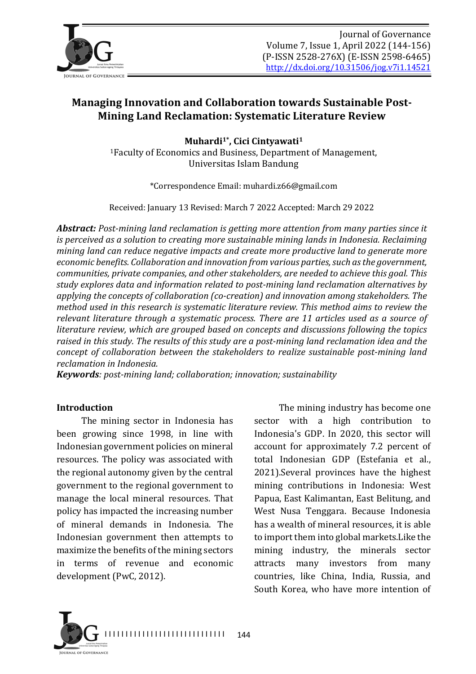

# **Managing Innovation and Collaboration towards Sustainable Post-Mining Land Reclamation: Systematic Literature Review**

**Muhardi<sup>1</sup>**, Cici Cintyawati<sup>1</sup> <sup>1</sup>Faculty of Economics and Business, Department of Management, Universitas Islam Bandung

\*Correspondence Email: muhardi.z66@gmail.com

Received: January 13 Revised: March 7 2022 Accepted: March 29 2022

**Abstract:** Post-mining land reclamation is getting more attention from many parties since it *is perceived as a solution to creating more sustainable mining lands in Indonesia. Reclaiming mining land can reduce negative impacts and create more productive land to generate more economic benefits. Collaboration and innovation from various parties, such as the government, communities, private companies, and other stakeholders, are needed to achieve this goal. This* study explores data and information related to post-mining land reclamation alternatives by *applying the concepts of collaboration (co-creation)* and *innovation among stakeholders. The method used in this research is systematic literature review. This method aims to review the relevant literature through a systematic process. There are 11 articles used as a source of literature review, which are grouped based on concepts and discussions following the topics* raised in this study. The results of this study are a post-mining land reclamation idea and the *concept of collaboration between the stakeholders to realize sustainable post-mining land reclamation in Indonesia.*

*Keywords: post-mining land; collaboration; innovation; sustainability* 

#### **Introduction**

The mining sector in Indonesia has been growing since 1998, in line with Indonesian government policies on mineral resources. The policy was associated with the regional autonomy given by the central government to the regional government to manage the local mineral resources. That policy has impacted the increasing number of mineral demands in Indonesia. The Indonesian government then attempts to maximize the benefits of the mining sectors in terms of revenue and economic development (PwC, 2012).

The mining industry has become one sector with a high contribution to Indonesia's GDP. In 2020, this sector will account for approximately 7.2 percent of total Indonesian GDP (Estefania et al., 2021). Several provinces have the highest mining contributions in Indonesia: West Papua, East Kalimantan, East Belitung, and West Nusa Tenggara. Because Indonesia has a wealth of mineral resources, it is able to import them into global markets.Like the mining industry, the minerals sector attracts many investors from many countries, like China, India, Russia, and South Korea, who have more intention of

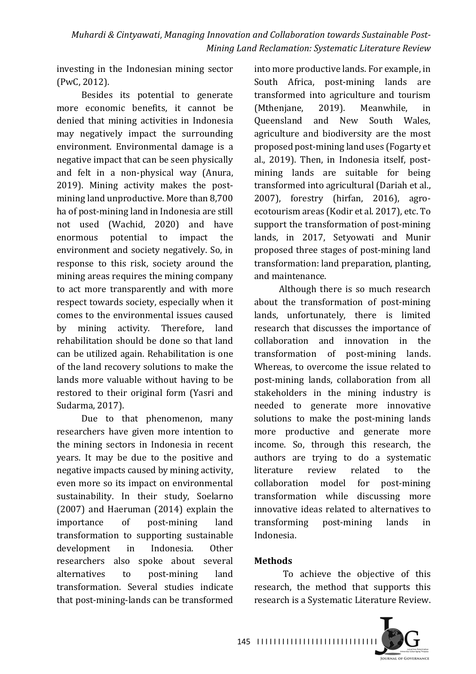investing in the Indonesian mining sector (PwC, 2012).

Besides its potential to generate more economic benefits, it cannot be denied that mining activities in Indonesia may negatively impact the surrounding environment. Environmental damage is a negative impact that can be seen physically and felt in a non-physical way (Anura, 2019). Mining activity makes the postmining land unproductive. More than 8,700 ha of post-mining land in Indonesia are still not used (Wachid, 2020) and have enormous potential to impact the environment and society negatively. So, in response to this risk, society around the mining areas requires the mining company to act more transparently and with more respect towards society, especially when it comes to the environmental issues caused by mining activity. Therefore, land rehabilitation should be done so that land can be utilized again. Rehabilitation is one of the land recovery solutions to make the lands more valuable without having to be restored to their original form (Yasri and Sudarma, 2017).

Due to that phenomenon, many researchers have given more intention to the mining sectors in Indonesia in recent years. It may be due to the positive and negative impacts caused by mining activity, even more so its impact on environmental sustainability. In their study, Soelarno  $(2007)$  and Haeruman  $(2014)$  explain the importance of post-mining land transformation to supporting sustainable development in Indonesia. Other researchers also spoke about several alternatives to post-mining land transformation. Several studies indicate that post-mining-lands can be transformed into more productive lands. For example, in South Africa, post-mining lands are transformed into agriculture and tourism (Mthenjane, 2019). Meanwhile, in Queensland and New South Wales, agriculture and biodiversity are the most proposed post-mining land uses (Fogarty et al., 2019). Then, in Indonesia itself, postmining lands are suitable for being transformed into agricultural (Dariah et al.,  $2007$ ), forestry (hirfan,  $2016$ ), agroecotourism areas (Kodir et al. 2017), etc. To support the transformation of post-mining lands, in 2017, Setyowati and Munir proposed three stages of post-mining land transformation: land preparation, planting, and maintenance.

Although there is so much research about the transformation of post-mining lands, unfortunately, there is limited research that discusses the importance of collaboration and innovation in the transformation of post-mining lands. Whereas, to overcome the issue related to post-mining lands, collaboration from all stakeholders in the mining industry is needed to generate more innovative solutions to make the post-mining lands more productive and generate more income. So, through this research, the authors are trying to do a systematic literature review related to the collaboration model for post-mining transformation while discussing more innovative ideas related to alternatives to transforming post-mining lands in Indonesia.

### **Methods**

To achieve the objective of this research, the method that supports this research is a Systematic Literature Review.



I I I I I I I I I I I I I I I I I I I I I I I I I I I I I 145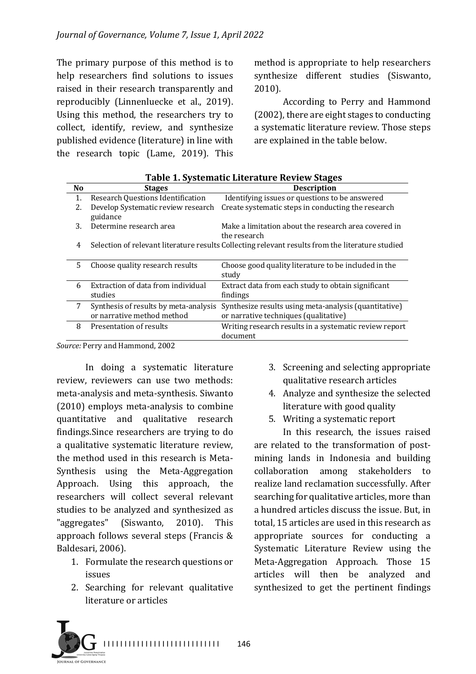The primary purpose of this method is to help researchers find solutions to issues raised in their research transparently and reproducibly (Linnenluecke et al., 2019). Using this method, the researchers try to collect, identify, review, and synthesize published evidence (literature) in line with the research topic (Lame,  $2019$ ). This

method is appropriate to help researchers synthesize different studies (Siswanto, 2010).

According to Perry and Hammond (2002), there are eight stages to conducting a systematic literature review. Those steps are explained in the table below.

| N <sub>o</sub> | <b>Stages</b>                                                       | <b>Description</b>                                                                               |
|----------------|---------------------------------------------------------------------|--------------------------------------------------------------------------------------------------|
| 1.             | <b>Research Questions Identification</b>                            | Identifying issues or questions to be answered                                                   |
| 2.             | Develop Systematic review research<br>guidance                      | Create systematic steps in conducting the research                                               |
| 3.             | Determine research area                                             | Make a limitation about the research area covered in<br>the research                             |
| 4              |                                                                     | Selection of relevant literature results Collecting relevant results from the literature studied |
| 5.             | Choose quality research results                                     | Choose good quality literature to be included in the<br>study                                    |
| 6              | Extraction of data from individual<br>studies                       | Extract data from each study to obtain significant<br>findings                                   |
| 7              | Synthesis of results by meta-analysis<br>or narrative method method | Synthesize results using meta-analysis (quantitative)<br>or narrative techniques (qualitative)   |
| 8              | Presentation of results                                             | Writing research results in a systematic review report<br>document                               |

**Table 1. Systematic Literature Review Stages**

Source: Perry and Hammond, 2002

In doing a systematic literature review, reviewers can use two methods: meta-analysis and meta-synthesis. Siwanto (2010) employs meta-analysis to combine quantitative and qualitative research findings. Since researchers are trying to do a qualitative systematic literature review, the method used in this research is Meta-Synthesis using the Meta-Aggregation Approach. Using this approach, the researchers will collect several relevant studies to be analyzed and synthesized as "aggregates" (Siswanto, 2010). This approach follows several steps (Francis & Baldesari, 2006).

- 1. Formulate the research questions or issues
- 2. Searching for relevant qualitative literature or articles
- 3. Screening and selecting appropriate qualitative research articles
- 4. Analyze and synthesize the selected literature with good quality
- 5. Writing a systematic report

In this research, the issues raised are related to the transformation of postmining lands in Indonesia and building collaboration among stakeholders to realize land reclamation successfully. After searching for qualitative articles, more than a hundred articles discuss the issue. But, in total, 15 articles are used in this research as appropriate sources for conducting a Systematic Literature Review using the Meta-Aggregation Approach. Those 15 articles will then be analyzed and synthesized to get the pertinent findings

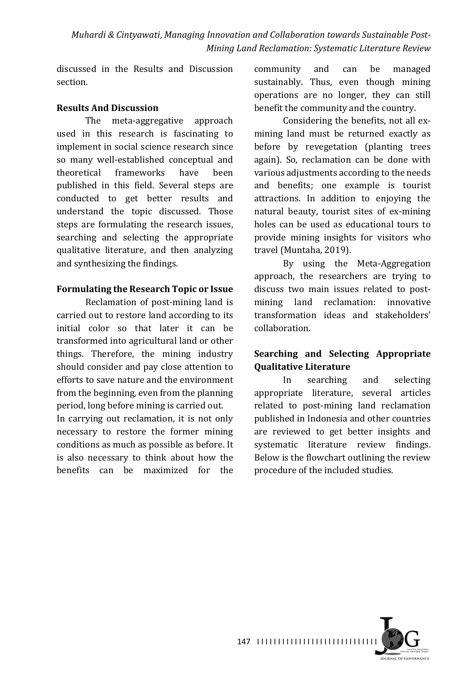discussed in the Results and Discussion section.

#### **Results And Discussion**

The meta-aggregative approach used in this research is fascinating to implement in social science research since so many well-established conceptual and theoretical frameworks have been published in this field. Several steps are conducted to get better results and understand the topic discussed. Those steps are formulating the research issues, searching and selecting the appropriate qualitative literature, and then analyzing and synthesizing the findings.

#### **Formulating the Research Topic or Issue**

Reclamation of post-mining land is carried out to restore land according to its initial color so that later it can be transformed into agricultural land or other things. Therefore, the mining industry should consider and pay close attention to efforts to save nature and the environment from the beginning, even from the planning period, long before mining is carried out.

In carrying out reclamation, it is not only necessary to restore the former mining conditions as much as possible as before. It is also necessary to think about how the benefits can be maximized for the

community and can be managed sustainably. Thus, even though mining operations are no longer, they can still benefit the community and the country.

Considering the benefits, not all exmining land must be returned exactly as before by revegetation (planting trees again). So, reclamation can be done with various adjustments according to the needs and benefits; one example is tourist attractions. In addition to enjoying the natural beauty, tourist sites of ex-mining holes can be used as educational tours to provide mining insights for visitors who travel (Muntaha, 2019).

By using the Meta-Aggregation approach, the researchers are trying to discuss two main issues related to postmining land reclamation: innovative transformation ideas and stakeholders' collaboration.

# **Searching and Selecting Appropriate Qualitative Literature**

In searching and selecting appropriate literature, several articles related to post-mining land reclamation published in Indonesia and other countries are reviewed to get better insights and systematic literature review findings. Below is the flowchart outlining the review procedure of the included studies.

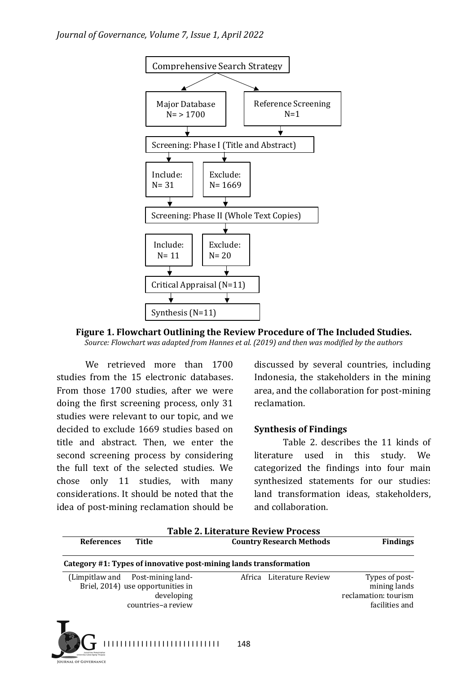

**Figure 1. Flowchart Outlining the Review Procedure of The Included Studies.** 

Source: Flowchart was adapted from Hannes et al. (2019) and then was modified by the authors

We retrieved more than 1700 studies from the 15 electronic databases. From those 1700 studies, after we were doing the first screening process, only 31 studies were relevant to our topic, and we decided to exclude 1669 studies based on title and abstract. Then, we enter the second screening process by considering the full text of the selected studies. We chose only 11 studies, with many considerations. It should be noted that the idea of post-mining reclamation should be

discussed by several countries, including Indonesia, the stakeholders in the mining area, and the collaboration for post-mining reclamation.

#### **Synthesis of Findings**

Table 2. describes the 11 kinds of literature used in this study. We categorized the findings into four main synthesized statements for our studies: land transformation ideas, stakeholders, and collaboration.

| <b>References</b> | Title                                                                                                     | <b>Country Research Methods</b> | <b>Findings</b>                                                          |
|-------------------|-----------------------------------------------------------------------------------------------------------|---------------------------------|--------------------------------------------------------------------------|
|                   | Category #1: Types of innovative post-mining lands transformation                                         |                                 |                                                                          |
|                   | (Limpitlaw and Post-mining land-<br>Briel, 2014) use opportunities in<br>developing<br>countries-a review | Africa Literature Review        | Types of post-<br>mining lands<br>reclamation: tourism<br>facilities and |
|                   |                                                                                                           |                                 |                                                                          |

in<br>Sa<br>I III

I I I I I I I I I I I I I I I I I I I I I I I I I I I I 148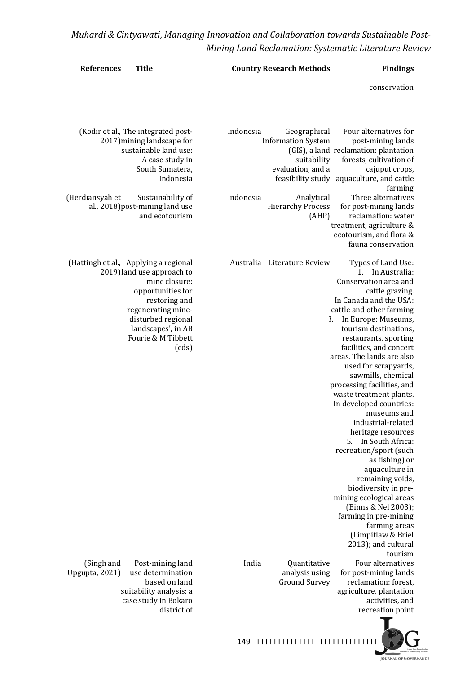| <b>Title</b><br><b>References</b>                                                                                                                                                                                           | <b>Country Research Methods</b><br><b>Findings</b>                                                                                                                                                                                                                                                                                                                                                                                                                                                                                                                                                                                                                                                                                                                                                           |
|-----------------------------------------------------------------------------------------------------------------------------------------------------------------------------------------------------------------------------|--------------------------------------------------------------------------------------------------------------------------------------------------------------------------------------------------------------------------------------------------------------------------------------------------------------------------------------------------------------------------------------------------------------------------------------------------------------------------------------------------------------------------------------------------------------------------------------------------------------------------------------------------------------------------------------------------------------------------------------------------------------------------------------------------------------|
|                                                                                                                                                                                                                             | conservation                                                                                                                                                                                                                                                                                                                                                                                                                                                                                                                                                                                                                                                                                                                                                                                                 |
| (Kodir et al., The integrated post-<br>2017) mining landscape for<br>sustainable land use:<br>A case study in<br>South Sumatera,<br>Indonesia                                                                               | Four alternatives for<br>Indonesia<br>Geographical<br><b>Information System</b><br>post-mining lands<br>(GIS), a land reclamation: plantation<br>forests, cultivation of<br>suitability<br>evaluation, and a<br>cajuput crops,<br>feasibility study aquaculture, and cattle<br>farming                                                                                                                                                                                                                                                                                                                                                                                                                                                                                                                       |
| (Herdiansyah et<br>Sustainability of<br>al., 2018) post-mining land use<br>and ecotourism                                                                                                                                   | Three alternatives<br>Indonesia<br>Analytical<br><b>Hierarchy Process</b><br>for post-mining lands<br>reclamation: water<br>(AHP)<br>treatment, agriculture &<br>ecotourism, and flora &<br>fauna conservation                                                                                                                                                                                                                                                                                                                                                                                                                                                                                                                                                                                               |
| (Hattingh et al., Applying a regional<br>2019) land use approach to<br>mine closure:<br>opportunities for<br>restoring and<br>regenerating mine-<br>disturbed regional<br>landscapes', in AB<br>Fourie & M Tibbett<br>(eds) | Australia Literature Review<br>Types of Land Use:<br>In Australia:<br>$1_{-}$<br>Conservation area and<br>cattle grazing.<br>In Canada and the USA:<br>cattle and other farming<br>In Europe: Museums,<br>$\mathbf{3}$ .<br>tourism destinations,<br>restaurants, sporting<br>facilities, and concert<br>areas. The lands are also<br>used for scrapyards,<br>sawmills, chemical<br>processing facilities, and<br>waste treatment plants.<br>In developed countries:<br>museums and<br>industrial-related<br>heritage resources<br>In South Africa:<br>5.<br>recreation/sport (such<br>as fishing) or<br>aquaculture in<br>remaining voids,<br>biodiversity in pre-<br>mining ecological areas<br>(Binns & Nel 2003);<br>farming in pre-mining<br>farming areas<br>(Limpitlaw & Briel<br>2013); and cultural |
| (Singh and<br>Post-mining land<br>use determination<br>Upgupta, 2021)<br>based on land<br>suitability analysis: a<br>case study in Bokaro<br>district of                                                                    | tourism<br>India<br>Four alternatives<br>Quantitative<br>analysis using<br>for post-mining lands<br><b>Ground Survey</b><br>reclamation: forest,<br>agriculture, plantation<br>activities, and<br>recreation point                                                                                                                                                                                                                                                                                                                                                                                                                                                                                                                                                                                           |



149 11111111111111111111111111111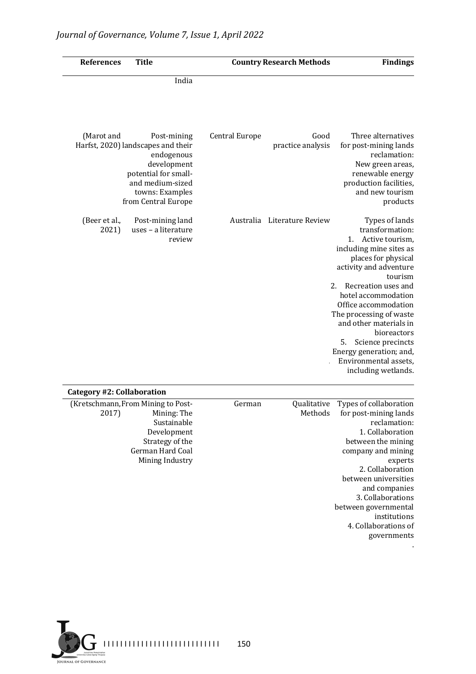| <b>Findings</b>                                                                                                                                                                                                                                                                                                                                                                                         | <b>Country Research Methods</b> |                       | <b>Title</b>                                                                                                                                                         | References                 |
|---------------------------------------------------------------------------------------------------------------------------------------------------------------------------------------------------------------------------------------------------------------------------------------------------------------------------------------------------------------------------------------------------------|---------------------------------|-----------------------|----------------------------------------------------------------------------------------------------------------------------------------------------------------------|----------------------------|
|                                                                                                                                                                                                                                                                                                                                                                                                         |                                 |                       | India                                                                                                                                                                |                            |
| Three alternatives<br>for post-mining lands<br>reclamation:<br>New green areas,<br>renewable energy<br>production facilities,<br>and new tourism<br>products                                                                                                                                                                                                                                            | Good<br>practice analysis       | <b>Central Europe</b> | Post-mining<br>Harfst, 2020) landscapes and their<br>endogenous<br>development<br>potential for small-<br>and medium-sized<br>towns: Examples<br>from Central Europe | (Marot and                 |
| Types of lands<br>transformation:<br>1.<br>Active tourism,<br>including mine sites as<br>places for physical<br>activity and adventure<br>tourism<br>Recreation uses and<br>2.<br>hotel accommodation<br>Office accommodation<br>The processing of waste<br>and other materials in<br>bioreactors<br>5.<br>Science precincts<br>Energy generation; and,<br>Environmental assets,<br>including wetlands. | Australia Literature Review     |                       | Post-mining land<br>uses - a literature<br>review                                                                                                                    | (Beer et al.,<br>2021)     |
|                                                                                                                                                                                                                                                                                                                                                                                                         |                                 |                       |                                                                                                                                                                      | Category #2: Collaboration |
| Types of collaboration<br>for post-mining lands<br>reclamation:<br>1. Collaboration<br>between the mining<br>company and mining<br>experts<br>2. Collaboration<br>between universities<br>and companies<br>3. Collaborations<br>between governmental<br>institutions<br>4. Collaborations of<br>governments                                                                                             | Qualitative<br>Methods          | German                | (Kretschmann, From Mining to Post-<br>Mining: The<br>Sustainable<br>Development<br>Strategy of the<br>German Hard Coal<br>Mining Industry                            | 2017)                      |



.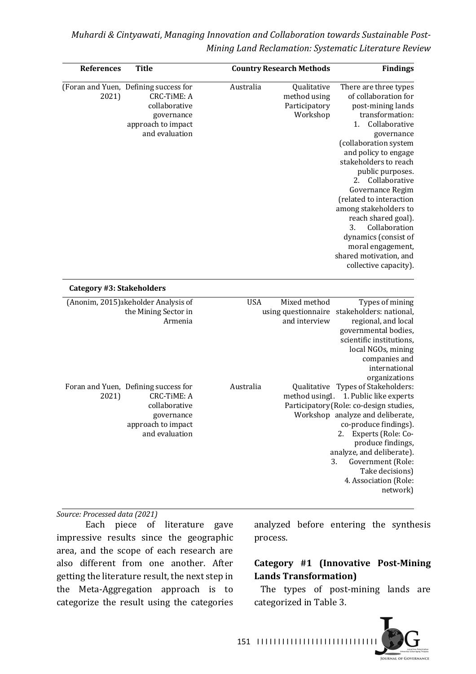| <b>References</b>         | <b>Title</b>                                                                                                                       |            | <b>Country Research Methods</b>                          | <b>Findings</b>                                                                                                                                                                                                                                                                                                                                                                                                                                                       |
|---------------------------|------------------------------------------------------------------------------------------------------------------------------------|------------|----------------------------------------------------------|-----------------------------------------------------------------------------------------------------------------------------------------------------------------------------------------------------------------------------------------------------------------------------------------------------------------------------------------------------------------------------------------------------------------------------------------------------------------------|
| 2021)                     | (Foran and Yuen, Defining success for<br><b>CRC-TIME: A</b><br>collaborative<br>governance<br>approach to impact<br>and evaluation | Australia  | Qualitative<br>method using<br>Participatory<br>Workshop | There are three types<br>of collaboration for<br>post-mining lands<br>transformation:<br>Collaborative<br>1.<br>governance<br>(collaboration system<br>and policy to engage<br>stakeholders to reach<br>public purposes.<br>Collaborative<br>2.<br>Governance Regim<br>(related to interaction<br>among stakeholders to<br>reach shared goal).<br>3.<br>Collaboration<br>dynamics (consist of<br>moral engagement,<br>shared motivation, and<br>collective capacity). |
| Category #3: Stakeholders |                                                                                                                                    |            |                                                          |                                                                                                                                                                                                                                                                                                                                                                                                                                                                       |
|                           | (Anonim, 2015) akeholder Analysis of<br>the Mining Sector in<br>Armenia                                                            | <b>USA</b> | Mixed method<br>using questionnaire<br>and interview     | Types of mining<br>stakeholders: national,<br>regional, and local<br>governmental bodies,<br>scientific institutions,<br>local NGOs, mining<br>companies and<br>international<br>organizations                                                                                                                                                                                                                                                                        |
| 2021)                     | Foran and Yuen, Defining success for<br><b>CRC-TIME: A</b><br>collaborative<br>governance<br>approach to impact<br>and evaluation  | Australia  |                                                          | Qualitative Types of Stakeholders:<br>method using1. 1. Public like experts<br>Participatory (Role: co-design studies,<br>Workshop analyze and deliberate,<br>co-produce findings).<br>Experts (Role: Co-<br>2.<br>produce findings,<br>analyze, and deliberate).<br>Government (Role:<br>3.<br>Take decisions)<br>4. Association (Role:<br>network)                                                                                                                  |

#### *Source: Processed data (2021)*

Each piece of literature gave impressive results since the geographic area, and the scope of each research are also different from one another. After getting the literature result, the next step in the Meta-Aggregation approach is to categorize the result using the categories analyzed before entering the synthesis process.

### **Category #1 (Innovative Post-Mining Lands Transformation)**

The types of post-mining lands are categorized in Table 3.

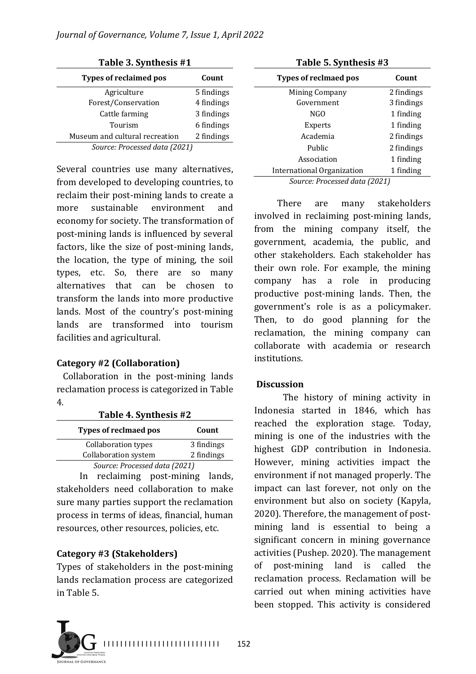| Table 3. Synthesis #1          |            |  |
|--------------------------------|------------|--|
| <b>Types of reclaimed pos</b>  | Count      |  |
| Agriculture                    | 5 findings |  |
| Forest/Conservation            | 4 findings |  |
| Cattle farming                 | 3 findings |  |
| Tourism                        | 6 findings |  |
| Museum and cultural recreation | 2 findings |  |
| Source: Processed data (2021)  |            |  |

Several countries use many alternatives, from developed to developing countries, to reclaim their post-mining lands to create a more sustainable environment and economy for society. The transformation of post-mining lands is influenced by several factors, like the size of post-mining lands, the location, the type of mining, the soil types, etc. So, there are so many alternatives that can be chosen to transform the lands into more productive lands. Most of the country's post-mining lands are transformed into tourism facilities and agricultural.

### **Category #2 (Collaboration)**

Collaboration in the post-mining lands reclamation process is categorized in Table 4.

| Table 4. Synthesis #2         |            |  |  |
|-------------------------------|------------|--|--|
| Types of reclmaed pos         | Count      |  |  |
| Collaboration types           | 3 findings |  |  |
| <b>Collaboration system</b>   | 2 findings |  |  |
| Source: Processed data (2021) |            |  |  |

In reclaiming post-mining lands, stakeholders need collaboration to make sure many parties support the reclamation process in terms of ideas, financial, human resources, other resources, policies, etc.

### **Category #3 (Stakeholders)**

Types of stakeholders in the post-mining lands reclamation process are categorized in Table 5.



| <b>Types of reclmaed pos</b>  | Count      |  |
|-------------------------------|------------|--|
| <b>Mining Company</b>         | 2 findings |  |
| Government                    | 3 findings |  |
| NGO                           | 1 finding  |  |
| Experts                       | 1 finding  |  |
| Academia                      | 2 findings |  |
| Public                        | 2 findings |  |
| Association                   | 1 finding  |  |
| International Organization    | 1 finding  |  |
| Source: Processed data (2021) |            |  |

There are many stakeholders involved in reclaiming post-mining lands, from the mining company itself, the government, academia, the public, and other stakeholders. Each stakeholder has their own role. For example, the mining company has a role in producing productive post-mining lands. Then, the government's role is as a policymaker. Then, to do good planning for the reclamation, the mining company can collaborate with academia or research institutions.

### **Discussion**

The history of mining activity in Indonesia started in 1846, which has reached the exploration stage. Today, mining is one of the industries with the highest GDP contribution in Indonesia. However, mining activities impact the environment if not managed properly. The impact can last forever, not only on the environment but also on society (Kapyla, 2020). Therefore, the management of postmining land is essential to being a significant concern in mining governance activities (Pushep. 2020). The management of post-mining land is called the reclamation process. Reclamation will be carried out when mining activities have been stopped. This activity is considered

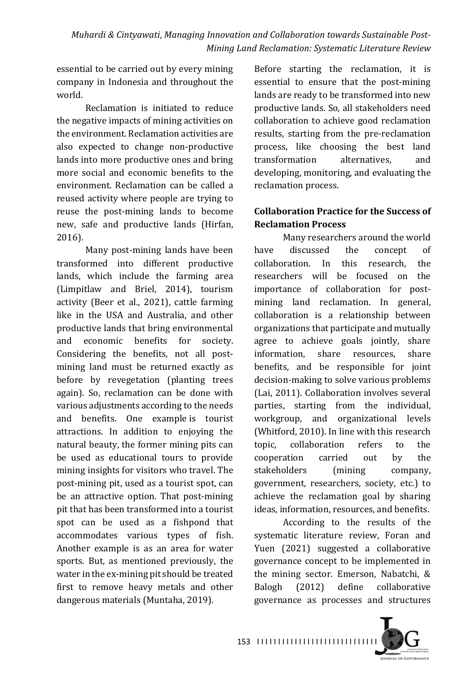essential to be carried out by every mining company in Indonesia and throughout the world.

Reclamation is initiated to reduce the negative impacts of mining activities on the environment. Reclamation activities are also expected to change non-productive lands into more productive ones and bring more social and economic benefits to the environment. Reclamation can be called a reused activity where people are trying to reuse the post-mining lands to become new, safe and productive lands (Hirfan, 2016).

Many post-mining lands have been transformed into different productive lands, which include the farming area (Limpitlaw and Briel, 2014), tourism activity (Beer et al., 2021), cattle farming like in the USA and Australia, and other productive lands that bring environmental and economic benefits for society. Considering the benefits, not all postmining land must be returned exactly as before by revegetation (planting trees again). So, reclamation can be done with various adjustments according to the needs and benefits. One example is tourist attractions. In addition to enjoying the natural beauty, the former mining pits can be used as educational tours to provide mining insights for visitors who travel. The post-mining pit, used as a tourist spot, can be an attractive option. That post-mining pit that has been transformed into a tourist spot can be used as a fishpond that accommodates various types of fish. Another example is as an area for water sports. But, as mentioned previously, the water in the ex-mining pit should be treated first to remove heavy metals and other dangerous materials (Muntaha, 2019).

Before starting the reclamation, it is essential to ensure that the post-mining lands are ready to be transformed into new productive lands. So, all stakeholders need collaboration to achieve good reclamation results, starting from the pre-reclamation process, like choosing the best land transformation alternatives, and developing, monitoring, and evaluating the reclamation process.

## **Collaboration Practice for the Success of Reclamation Process**

Many researchers around the world have discussed the concept of collaboration. In this research, the researchers will be focused on the importance of collaboration for postmining land reclamation. In general, collaboration is a relationship between organizations that participate and mutually agree to achieve goals jointly, share information, share resources, share benefits, and be responsible for joint decision-making to solve various problems (Lai, 2011). Collaboration involves several parties, starting from the individual, workgroup, and organizational levels (Whitford, 2010). In line with this research topic, collaboration refers to the cooperation carried out by the stakeholders (mining company, government, researchers, society, etc.) to achieve the reclamation goal by sharing ideas, information, resources, and benefits.

According to the results of the systematic literature review, Foran and Yuen (2021) suggested a collaborative governance concept to be implemented in the mining sector. Emerson, Nabatchi, & Balogh (2012) define collaborative governance as processes and structures 

153 | 1111111111111111111111111111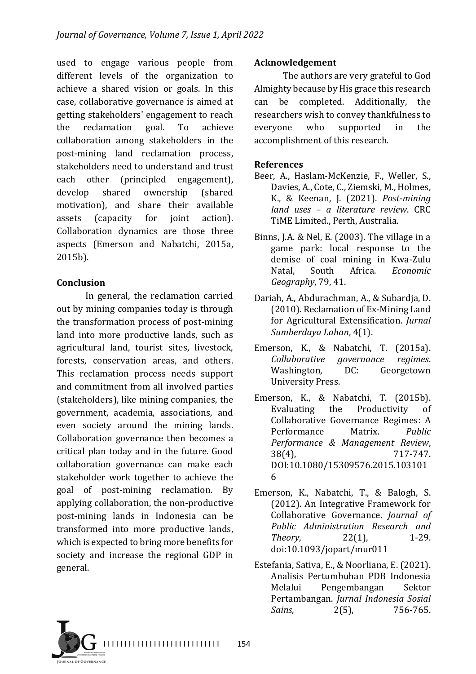used to engage various people from different levels of the organization to achieve a shared vision or goals. In this case, collaborative governance is aimed at getting stakeholders' engagement to reach the reclamation goal. To achieve collaboration among stakeholders in the post-mining land reclamation process, stakeholders need to understand and trust each other (principled engagement), develop shared ownership (shared motivation), and share their available assets (capacity for joint action). Collaboration dynamics are those three aspects (Emerson and Nabatchi, 2015a, 2015b).

#### **Conclusion**

In general, the reclamation carried out by mining companies today is through the transformation process of post-mining land into more productive lands, such as agricultural land, tourist sites, livestock, forests, conservation areas, and others. This reclamation process needs support and commitment from all involved parties (stakeholders), like mining companies, the government, academia, associations, and even society around the mining lands. Collaboration governance then becomes a critical plan today and in the future. Good collaboration governance can make each stakeholder work together to achieve the goal of post-mining reclamation. By applying collaboration, the non-productive post-mining lands in Indonesia can be transformed into more productive lands, which is expected to bring more benefits for society and increase the regional GDP in general.

#### **Acknowledgement**

The authors are very grateful to God Almighty because by His grace this research can be completed. Additionally, the researchers wish to convey thankfulness to everyone who supported in the accomplishment of this research.

### **References**

- Beer, A., Haslam-McKenzie, F., Weller, S., Davies, A., Cote, C., Ziemski, M., Holmes, K., & Keenan, J. (2021). *Post-mining land uses – a literature review*. CRC TiME Limited., Perth, Australia.
- Binns, J.A. & Nel, E.  $(2003)$ . The village in a game park: local response to the demise of coal mining in Kwa-Zulu Natal, South Africa. *Economic Geography*, 79, 41.
- Dariah, A., Abdurachman, A., & Subardja, D. (2010). Reclamation of Ex-Mining Land for Agricultural Extensification. *Jurnal* Sumberdaya Lahan, 4(1).
- Emerson, K., & Nabatchi, T. (2015a). *Collaborative governance regimes*. Washington, DC: Georgetown University Press.
- Emerson, K., & Nabatchi, T. (2015b). Evaluating the Productivity of Collaborative Governance Regimes: A Performance Matrix. *Public Performance & Management Review*, 38(4), 717-747. DOI:10.1080/15309576.2015.103101 6
- Emerson, K., Nabatchi, T., & Balogh, S. (2012). An Integrative Framework for Collaborative Governance. *Journal of Public Administration Research and Theory*, 22(1), 1-29. doi:10.1093/jopart/mur011
- Estefania, Sativa, E., & Noorliana, E. (2021). Analisis Pertumbuhan PDB Indonesia Melalui Pengembangan Sektor Pertambangan. *Jurnal Indonesia Sosial Sains*, 2(5), 756-765.

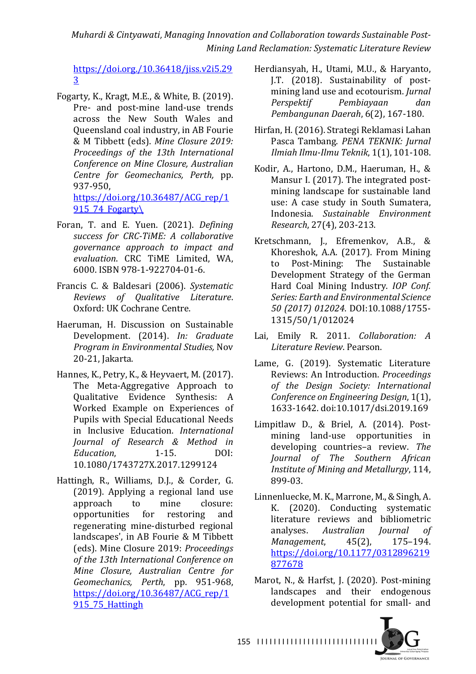https://doi.org./10.36418/jiss.v2i5.29 3

- Fogarty, K., Kragt, M.E., & White, B.  $(2019)$ . Pre- and post-mine land-use trends across the New South Wales and Queensland coal industry, in AB Fourie & M Tibbett (eds). Mine Closure 2019: *Proceedings of the 13th International Conference on Mine Closure, Australian Centre for Geomechanics, Perth,* pp. 937-950, https://doi.org/10.36487/ACG\_rep/1 915\_74 Fogarty\
- Foran, T. and E. Yuen. (2021). *Defining* success for CRC-TiME: A collaborative *governance approach to impact and evaluation*. CRC TiME Limited, WA, 6000. ISBN 978-1-922704-01-6.
- Francis C. & Baldesari (2006). *Systematic Reviews of Qualitative Literature*. Oxford: UK Cochrane Centre.
- Haeruman, H. Discussion on Sustainable Development. (2014). *In: Graduate Program in Environmental Studies, Nov* 20-21, Jakarta.
- Hannes, K., Petry, K., & Heyvaert, M. (2017). The Meta-Aggregative Approach to Qualitative Evidence Synthesis: A Worked Example on Experiences of Pupils with Special Educational Needs in Inclusive Education. *International Journal of Research & Method in Education.* 1-15. DOI: 10.1080/1743727X.2017.1299124
- Hattingh, R., Williams, D.J., & Corder, G. (2019). Applying a regional land use approach to mine closure: opportunities for restoring and regenerating mine-disturbed regional landscapes', in AB Fourie & M Tibbett (eds). Mine Closure 2019: *Proceedings*  of the 13th International Conference on *Mine Closure, Australian Centre for Geomechanics, Perth*, pp. 951-968, https://doi.org/10.36487/ACG\_rep/1 915 75 Hattingh
- Herdiansyah, H., Utami, M.U., & Haryanto, J.T. (2018). Sustainability of postmining land use and ecotourism. *Jurnal Perspektif Pembiayaan dan Pembangunan Daerah*, 6(2), 167-180.
- Hirfan, H. (2016). Strategi Reklamasi Lahan Pasca Tambang. PENA TEKNIK: Jurnal *Ilmiah Ilmu-Ilmu Teknik*, 1(1), 101-108.
- Kodir, A., Hartono, D.M., Haeruman, H., & Mansur I. (2017). The integrated postmining landscape for sustainable land use: A case study in South Sumatera, Indonesia. *Sustainable Environment Research*, 27(4), 203-213.
- Kretschmann, J., Efremenkov, A.B., & Khoreshok, A.A. (2017). From Mining to Post-Mining: The Sustainable Development Strategy of the German Hard Coal Mining Industry. *IOP Conf.* Series: Earth and Environmental Science *50 (2017) 012024*. DOI:10.1088/1755- 1315/50/1/012024
- Lai, Emily R. 2011. *Collaboration:* A *Literature Review*. Pearson.
- Lame, G. (2019). Systematic Literature Reviews: An Introduction. *Proceedings of the Design Society: International Conference on Engineering Design,* 1(1), 1633-1642. doi:10.1017/dsi.2019.169
- Limpitlaw D., & Briel, A. (2014). Postmining land-use opportunities in developing countries-a review. The *Journal of The Southern African Institute of Mining and Metallurgy, 114,* 899-03.
- Linnenluecke, M. K., Marrone, M., & Singh, A. K. (2020). Conducting systematic literature reviews and bibliometric analyses. *Australian Iournal of Management*, 45(2), 175-194. https://doi.org/10.1177/0312896219 877678
- Marot, N., & Harfst, J. (2020). Post-mining landscapes and their endogenous development potential for small- and



155 | 1111111111111111111111111111